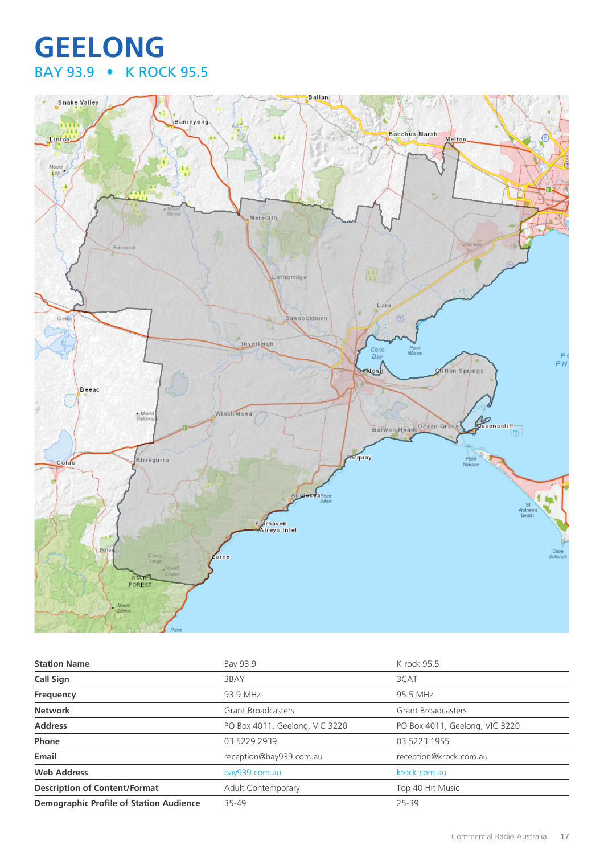# **GEELONG** BAY 93.9 • K ROCK 95.5



| <b>Station Name</b>                            | Bay 93.9                       | K rock 95.5                    |
|------------------------------------------------|--------------------------------|--------------------------------|
| <b>Call Sign</b>                               | 3BAY                           | 3CAT                           |
| <b>Frequency</b>                               | 93.9 MHz                       | 95.5 MHz                       |
| <b>Network</b>                                 | <b>Grant Broadcasters</b>      | <b>Grant Broadcasters</b>      |
| <b>Address</b>                                 | PO Box 4011, Geelong, VIC 3220 | PO Box 4011, Geelong, VIC 3220 |
| Phone                                          | 03 5229 2939                   | 03 5223 1955                   |
| Email                                          | reception@bay939.com.au        | reception@krock.com.au         |
| <b>Web Address</b>                             | bay939.com.au                  | krock.com.au                   |
| <b>Description of Content/Format</b>           | <b>Adult Contemporary</b>      | Top 40 Hit Music               |
| <b>Demographic Profile of Station Audience</b> | 35-49                          | 25-39                          |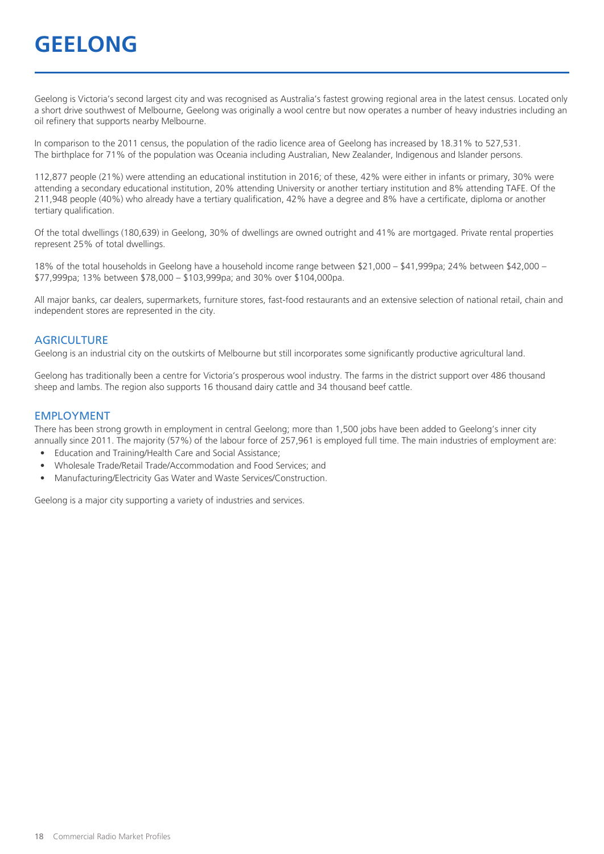Geelong is Victoria's second largest city and was recognised as Australia's fastest growing regional area in the latest census. Located only a short drive southwest of Melbourne, Geelong was originally a wool centre but now operates a number of heavy industries including an oil refinery that supports nearby Melbourne.

In comparison to the 2011 census, the population of the radio licence area of Geelong has increased by 18.31% to 527,531. The birthplace for 71% of the population was Oceania including Australian, New Zealander, Indigenous and Islander persons.

112,877 people (21%) were attending an educational institution in 2016; of these, 42% were either in infants or primary, 30% were attending a secondary educational institution, 20% attending University or another tertiary institution and 8% attending TAFE. Of the 211,948 people (40%) who already have a tertiary qualification, 42% have a degree and 8% have a certificate, diploma or another tertiary qualification.

Of the total dwellings (180,639) in Geelong, 30% of dwellings are owned outright and 41% are mortgaged. Private rental properties represent 25% of total dwellings.

18% of the total households in Geelong have a household income range between \$21,000 – \$41,999pa; 24% between \$42,000 – \$77,999pa; 13% between \$78,000 – \$103,999pa; and 30% over \$104,000pa.

All major banks, car dealers, supermarkets, furniture stores, fast-food restaurants and an extensive selection of national retail, chain and independent stores are represented in the city.

#### **AGRICULTURE**

Geelong is an industrial city on the outskirts of Melbourne but still incorporates some significantly productive agricultural land.

Geelong has traditionally been a centre for Victoria's prosperous wool industry. The farms in the district support over 486 thousand sheep and lambs. The region also supports 16 thousand dairy cattle and 34 thousand beef cattle.

#### EMPLOYMENT

There has been strong growth in employment in central Geelong; more than 1,500 jobs have been added to Geelong's inner city annually since 2011. The majority (57%) of the labour force of 257,961 is employed full time. The main industries of employment are:

- Education and Training/Health Care and Social Assistance;
- Wholesale Trade/Retail Trade/Accommodation and Food Services; and
- Manufacturing/Electricity Gas Water and Waste Services/Construction.

Geelong is a major city supporting a variety of industries and services.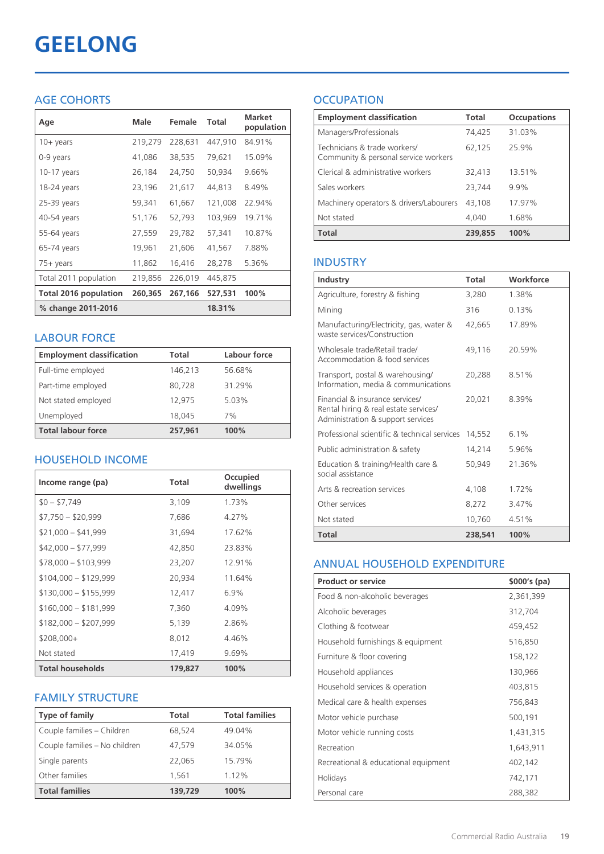# **GEELONG**

# AGE COHORTS

| Age                          | Male    | Female  | <b>Total</b> | <b>Market</b><br>population |
|------------------------------|---------|---------|--------------|-----------------------------|
| $10 +$ years                 | 219,279 | 228,631 | 447,910      | 84.91%                      |
| 0-9 years                    | 41,086  | 38,535  | 79,621       | 15.09%                      |
| $10-17$ years                | 26,184  | 24,750  | 50,934       | 9.66%                       |
| 18-24 years                  | 23,196  | 21,617  | 44,813       | 8.49%                       |
| 25-39 years                  | 59,341  | 61,667  | 121,008      | 22.94%                      |
| 40-54 years                  | 51,176  | 52,793  | 103,969      | 19.71%                      |
| 55-64 years                  | 27,559  | 29,782  | 57,341       | 10.87%                      |
| 65-74 years                  | 19,961  | 21,606  | 41,567       | 7.88%                       |
| 75+ years                    | 11,862  | 16,416  | 28,278       | 5.36%                       |
| Total 2011 population        | 219,856 | 226,019 | 445,875      |                             |
| <b>Total 2016 population</b> | 260,365 | 267,166 | 527,531      | 100%                        |
| % change 2011-2016           |         |         | 18.31%       |                             |

#### LABOUR FORCE

| <b>Employment classification</b> | Total   | Labour force |
|----------------------------------|---------|--------------|
| Full-time employed               | 146,213 | 56.68%       |
| Part-time employed               | 80,728  | 31.29%       |
| Not stated employed              | 12.975  | 5.03%        |
| Unemployed                       | 18.045  | 7%           |
| <b>Total labour force</b>        | 257.961 | 100%         |

# HOUSEHOLD INCOME

| Income range (pa)       | Total   | Occupied<br>dwellings |
|-------------------------|---------|-----------------------|
| $$0 - $7,749$           | 3,109   | 1.73%                 |
| $$7,750 - $20,999$      | 7,686   | 4.27%                 |
| $$21,000 - $41,999$     | 31,694  | 17.62%                |
| $$42,000 - $77,999$     | 42,850  | 23.83%                |
| $$78,000 - $103,999$    | 23,207  | 12.91%                |
| $$104,000 - $129,999$   | 20,934  | 11.64%                |
| $$130,000 - $155,999$   | 12,417  | 6.9%                  |
| $$160,000 - $181,999$   | 7,360   | 4.09%                 |
| $$182,000 - $207,999$   | 5,139   | 2.86%                 |
| $$208,000+$             | 8,012   | 4.46%                 |
| Not stated              | 17,419  | 9.69%                 |
| <b>Total households</b> | 179,827 | 100%                  |

#### FAMILY STRUCTURE

| <b>Type of family</b>         | Total   | <b>Total families</b> |
|-------------------------------|---------|-----------------------|
| Couple families - Children    | 68,524  | 49.04%                |
| Couple families - No children | 47.579  | 34.05%                |
| Single parents                | 22.065  | 15.79%                |
| Other families                | 1,561   | 1.12%                 |
| <b>Total families</b>         | 139,729 | 100%                  |

# **OCCUPATION**

| <b>Employment classification</b>                                     | <b>Total</b> | <b>Occupations</b> |
|----------------------------------------------------------------------|--------------|--------------------|
| Managers/Professionals                                               | 74,425       | 31.03%             |
| Technicians & trade workers/<br>Community & personal service workers | 62,125       | 25.9%              |
| Clerical & administrative workers                                    | 32.413       | 13.51%             |
| Sales workers                                                        | 23,744       | 9.9%               |
| Machinery operators & drivers/Labourers                              | 43,108       | 17.97%             |
| Not stated                                                           | 4.040        | 1.68%              |
| Total                                                                | 239,855      | 100%               |

#### INDUSTRY

| Industry                                                                                                      | Total   | Workforce |
|---------------------------------------------------------------------------------------------------------------|---------|-----------|
| Agriculture, forestry & fishing                                                                               | 3,280   | 1.38%     |
| Mining                                                                                                        | 316     | 0.13%     |
| Manufacturing/Electricity, gas, water &<br>waste services/Construction                                        | 42,665  | 17.89%    |
| Wholesale trade/Retail trade/<br>Accommodation & food services                                                | 49.116  | 20.59%    |
| Transport, postal & warehousing/<br>Information, media & communications                                       | 20,288  | 8.51%     |
| Financial & insurance services/<br>Rental hiring & real estate services/<br>Administration & support services | 20,021  | 8.39%     |
| Professional scientific & technical services                                                                  | 14,552  | 6.1%      |
| Public administration & safety                                                                                | 14,214  | 5.96%     |
| Education & training/Health care &<br>social assistance                                                       | 50,949  | 21.36%    |
| Arts & recreation services                                                                                    | 4,108   | 1.72%     |
| Other services                                                                                                | 8,272   | 3.47%     |
| Not stated                                                                                                    | 10,760  | 4.51%     |
| <b>Total</b>                                                                                                  | 238,541 | 100%      |

#### ANNUAL HOUSEHOLD EXPENDITURE

| <b>Product or service</b>            | $$000's$ (pa) |
|--------------------------------------|---------------|
| Food & non-alcoholic beverages       | 2,361,399     |
| Alcoholic beverages                  | 312,704       |
| Clothing & footwear                  | 459,452       |
| Household furnishings & equipment    | 516,850       |
| Furniture & floor covering           | 158,122       |
| Household appliances                 | 130,966       |
| Household services & operation       | 403,815       |
| Medical care & health expenses       | 756,843       |
| Motor vehicle purchase               | 500,191       |
| Motor vehicle running costs          | 1,431,315     |
| Recreation                           | 1,643,911     |
| Recreational & educational equipment | 402,142       |
| Holidays                             | 742,171       |
| Personal care                        | 288,382       |